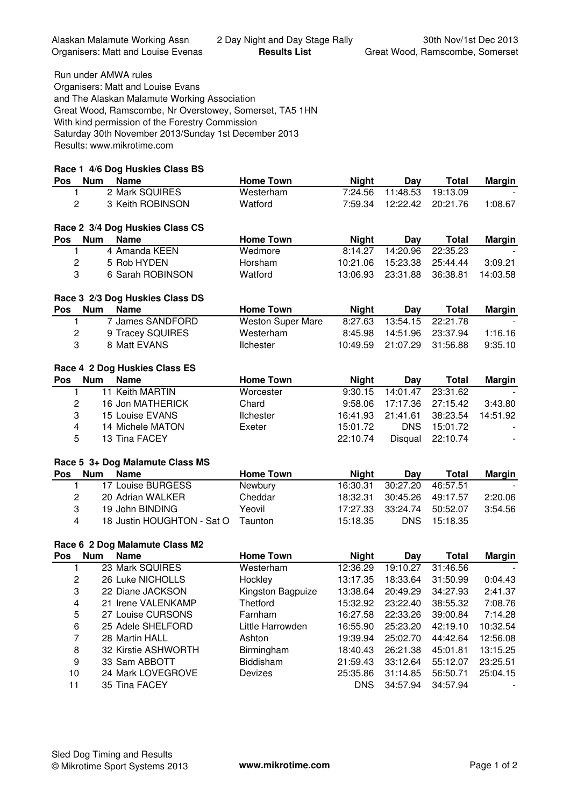Run under AMWA rules

Organisers: Matt and Louise Evans and The Alaskan Malamute Working Association Great Wood, Ramscombe, Nr Overstowey, Somerset, TA5 1HN With kind permission of the Forestry Commission Saturday 30th November 2013/Sunday 1st December 2013 Results: www.mikrotime.com

## **Race 1 4/6 Dog Huskies Class BS**

| Pos                     | <b>Num</b> | <b>Name</b>                     | <b>Home Town</b>  | <b>Night</b> | Day        | <b>Total</b> | <b>Margin</b> |
|-------------------------|------------|---------------------------------|-------------------|--------------|------------|--------------|---------------|
| 1.                      |            | 2 Mark SQUIRES                  | Westerham         | 7:24.56      | 11:48.53   | 19:13.09     |               |
| $\overline{c}$          |            | 3 Keith ROBINSON                | Watford           | 7:59.34      | 12:22.42   | 20:21.76     | 1:08.67       |
|                         |            |                                 |                   |              |            |              |               |
|                         |            | Race 2 3/4 Dog Huskies Class CS |                   |              |            |              |               |
| <b>Pos</b>              | <b>Num</b> | <b>Name</b>                     | <b>Home Town</b>  | <b>Night</b> | Day        | <b>Total</b> | <b>Margin</b> |
| 1                       |            | 4 Amanda KEEN                   | Wedmore           | 8:14.27      | 14:20.96   | 22:35.23     |               |
| $\overline{c}$          |            | 5 Rob HYDEN                     | Horsham           | 10:21.06     | 15:23.38   | 25:44.44     | 3:09.21       |
| 3                       |            | 6 Sarah ROBINSON                | Watford           | 13:06.93     | 23:31.88   | 36:38.81     | 14:03.58      |
|                         |            | Race 3 2/3 Dog Huskies Class DS |                   |              |            |              |               |
| <b>Pos</b>              | <b>Num</b> | <b>Name</b>                     | <b>Home Town</b>  | <b>Night</b> | Day        | <b>Total</b> | <b>Margin</b> |
| 1.                      |            | 7 James SANDFORD                | Weston Super Mare | 8:27.63      | 13:54.15   | 22:21.78     |               |
| $\overline{c}$          |            | 9 Tracey SQUIRES                | Westerham         | 8:45.98      | 14:51.96   | 23:37.94     | 1:16.16       |
| 3                       |            | 8 Matt EVANS                    | <b>Ilchester</b>  | 10:49.59     | 21:07.29   | 31:56.88     | 9:35.10       |
|                         |            | Race 4 2 Dog Huskies Class ES   |                   |              |            |              |               |
| Pos                     | <b>Num</b> | <b>Name</b>                     | <b>Home Town</b>  | <b>Night</b> | Day        | <b>Total</b> | <b>Margin</b> |
| 1                       |            | 11 Keith MARTIN                 | Worcester         | 9:30.15      | 14:01.47   | 23:31.62     |               |
| $\overline{c}$          |            | 16 Jon MATHERICK                | Chard             | 9:58.06      | 17:17.36   | 27:15.42     | 3:43.80       |
| 3                       |            | 15 Louise EVANS                 | <b>Ilchester</b>  | 16:41.93     | 21:41.61   | 38:23.54     | 14:51.92      |
| $\overline{\mathbf{4}}$ |            | 14 Michele MATON                | Exeter            | 15:01.72     | <b>DNS</b> | 15:01.72     |               |
| 5                       |            | 13 Tina FACEY                   |                   | 22:10.74     | Disqual    | 22:10.74     |               |
|                         |            | Race 5 3+ Dog Malamute Class MS |                   |              |            |              |               |
| Pos                     | <b>Num</b> | <b>Name</b>                     | <b>Home Town</b>  | <b>Night</b> | Day        | <b>Total</b> | <b>Margin</b> |
| 1                       |            | 17 Louise BURGESS               | Newbury           | 16:30.31     | 30:27.20   | 46:57.51     |               |
| $\mathbf{2}$            |            | 20 Adrian WALKER                | Cheddar           | 18:32.31     | 30:45.26   | 49:17.57     | 2:20.06       |
| 3                       |            | 19 John BINDING                 | Yeovil            | 17:27.33     | 33:24.74   | 50:52.07     | 3:54.56       |
| 4                       |            | 18 Justin HOUGHTON - Sat O      | Taunton           | 15:18.35     | <b>DNS</b> | 15:18.35     |               |
|                         |            |                                 |                   |              |            |              |               |
|                         |            | Race 6, 2 Dog Malamute Class M2 |                   |              |            |              |               |

## race 6 2 Dog Malamute Class

| Pos | <b>Num</b> | <b>Name</b>         | <b>Home Town</b>  | <b>Night</b> | Day      | <b>Total</b> | <b>Margin</b> |
|-----|------------|---------------------|-------------------|--------------|----------|--------------|---------------|
|     |            | 23 Mark SQUIRES     | Westerham         | 12:36.29     | 19:10.27 | 31:46.56     |               |
| 2   |            | 26 Luke NICHOLLS    | Hockley           | 13:17.35     | 18:33.64 | 31:50.99     | 0:04.43       |
| 3   |            | 22 Diane JACKSON    | Kingston Bagpuize | 13:38.64     | 20:49.29 | 34:27.93     | 2:41.37       |
| 4   |            | 21 Irene VALENKAMP  | <b>Thetford</b>   | 15:32.92     | 23:22.40 | 38:55.32     | 7:08.76       |
| 5   |            | 27 Louise CURSONS   | Farnham           | 16:27.58     | 22:33.26 | 39:00.84     | 7:14.28       |
| 6   |            | 25 Adele SHELFORD   | Little Harrowden  | 16:55.90     | 25:23.20 | 42:19.10     | 10:32.54      |
| 7   |            | 28 Martin HALL      | Ashton            | 19:39.94     | 25:02.70 | 44:42.64     | 12:56.08      |
| 8   |            | 32 Kirstie ASHWORTH | Birmingham        | 18:40.43     | 26:21.38 | 45:01.81     | 13:15.25      |
| 9   |            | 33 Sam ABBOTT       | <b>Biddisham</b>  | 21:59.43     | 33:12.64 | 55:12.07     | 23:25.51      |
| 10  |            | 24 Mark LOVEGROVE   | Devizes           | 25:35.86     | 31:14.85 | 56:50.71     | 25:04.15      |
| 11  |            | 35 Tina FACEY       |                   | <b>DNS</b>   | 34:57.94 | 34:57.94     |               |